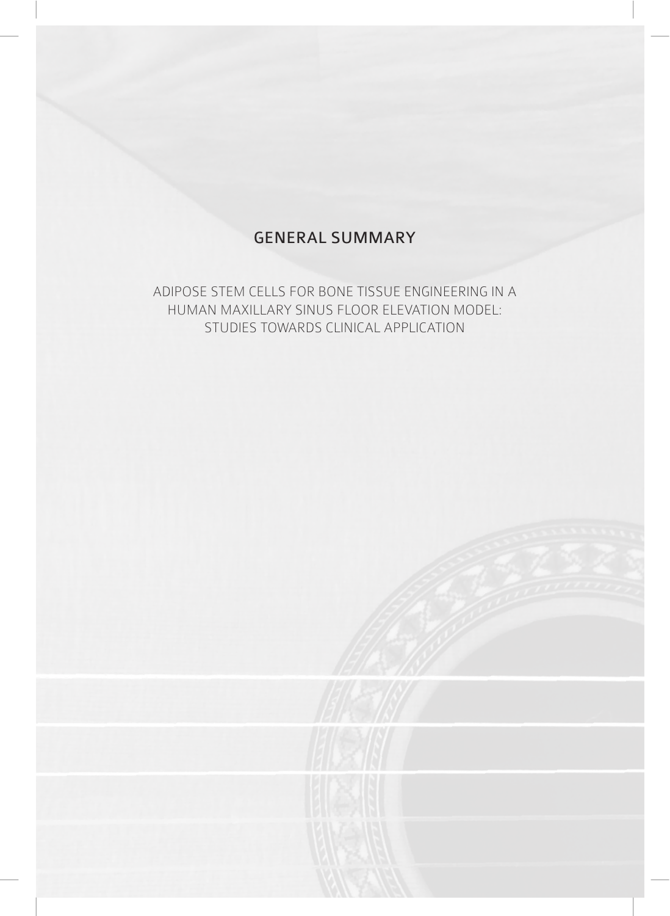## GENERAL SUMMARY

ADIPOSE STEM CELLS FOR BONE TISSUE ENGINEERING IN A HUMAN MAXILLARY SINUS FLOOR ELEVATION MODEL: STUDIES TOWARDS CLINICAL APPLICATION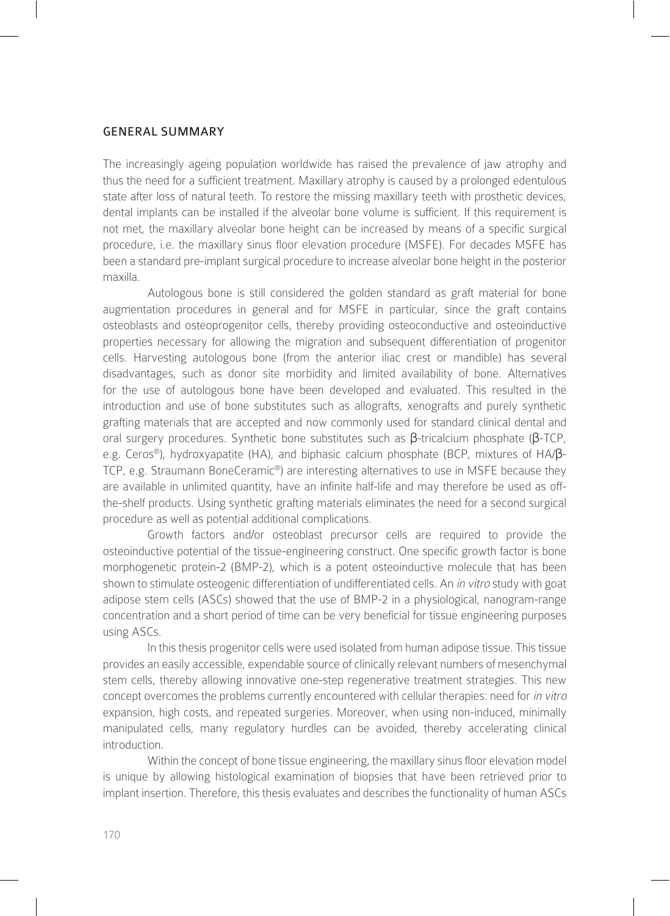## GENERAL SUMMARY

The increasingly ageing population worldwide has raised the prevalence of jaw atrophy and thus the need for a sufficient treatment. Maxillary atrophy is caused by a prolonged edentulous state after loss of natural teeth. To restore the missing maxillary teeth with prosthetic devices, dental implants can be installed if the alveolar bone volume is sufficient. If this requirement is not met, the maxillary alveolar bone height can be increased by means of a specific surgical procedure, i.e. the maxillary sinus floor elevation procedure (MSFE). For decades MSFE has been a standard pre-implant surgical procedure to increase alveolar bone height in the posterior maxilla.

Autologous bone is still considered the golden standard as graft material for bone augmentation procedures in general and for MSFE in particular, since the graft contains osteoblasts and osteoprogenitor cells, thereby providing osteoconductive and osteoinductive properties necessary for allowing the migration and subsequent differentiation of progenitor cells. Harvesting autologous bone (from the anterior iliac crest or mandible) has several disadvantages, such as donor site morbidity and limited availability of bone. Alternatives for the use of autologous bone have been developed and evaluated. This resulted in the introduction and use of bone substitutes such as allografts, xenografts and purely synthetic grafting materials that are accepted and now commonly used for standard clinical dental and oral surgery procedures. Synthetic bone substitutes such as β-tricalcium phosphate (β-TCP, e.g. Ceros®), hydroxyapatite (HA), and biphasic calcium phosphate (BCP, mixtures of HA/β-TCP, e.g. Straumann BoneCeramic®) are interesting alternatives to use in MSFE because they are available in unlimited quantity, have an infinite half-life and may therefore be used as offthe-shelf products. Using synthetic grafting materials eliminates the need for a second surgical procedure as well as potential additional complications.

Growth factors and/or osteoblast precursor cells are required to provide the osteoinductive potential of the tissue-engineering construct. One specific growth factor is bone morphogenetic protein-2 (BMP-2), which is a potent osteoinductive molecule that has been shown to stimulate osteogenic differentiation of undifferentiated cells. An in vitro study with goat adipose stem cells (ASCs) showed that the use of BMP-2 in a physiological, nanogram-range concentration and a short period of time can be very beneficial for tissue engineering purposes using ASCs.

In this thesis progenitor cells were used isolated from human adipose tissue. This tissue provides an easily accessible, expendable source of clinically relevant numbers of mesenchymal stem cells, thereby allowing innovative one-step regenerative treatment strategies. This new concept overcomes the problems currently encountered with cellular therapies: need for in vitro expansion, high costs, and repeated surgeries. Moreover, when using non-induced, minimally manipulated cells, many regulatory hurdles can be avoided, thereby accelerating clinical introduction.

Within the concept of bone tissue engineering, the maxillary sinus floor elevation model is unique by allowing histological examination of biopsies that have been retrieved prior to implant insertion. Therefore, this thesis evaluates and describes the functionality of human ASCs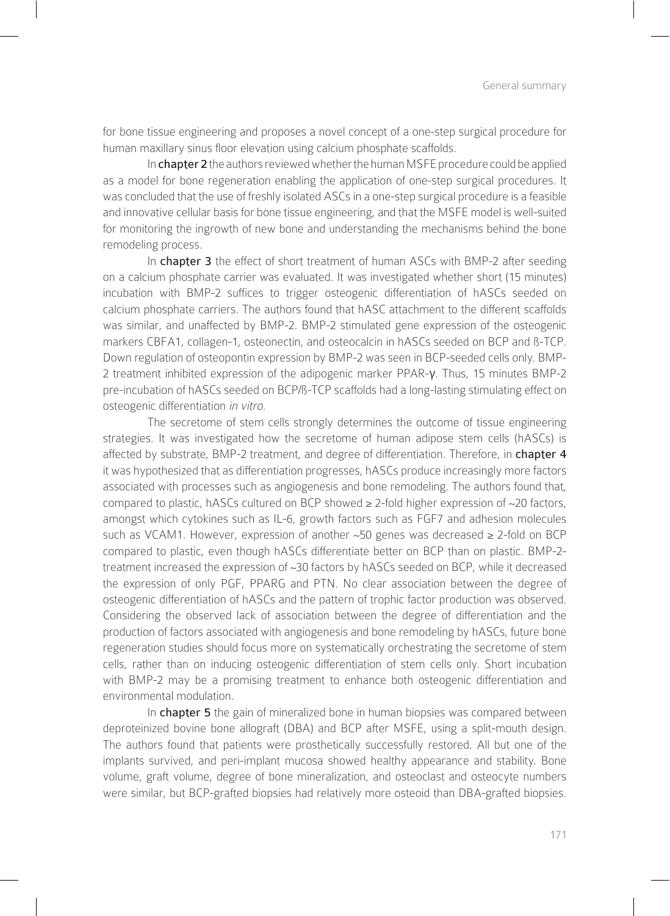for bone tissue engineering and proposes a novel concept of a one-step surgical procedure for human maxillary sinus floor elevation using calcium phosphate scaffolds.

In chapter 2 the authors reviewed whether the human MSFE procedure could be applied as a model for bone regeneration enabling the application of one-step surgical procedures. It was concluded that the use of freshly isolated ASCs in a one-step surgical procedure is a feasible and innovative cellular basis for bone tissue engineering, and that the MSFE model is well-suited for monitoring the ingrowth of new bone and understanding the mechanisms behind the bone remodeling process.

In chapter 3 the effect of short treatment of human ASCs with BMP-2 after seeding on a calcium phosphate carrier was evaluated. It was investigated whether short (15 minutes) incubation with BMP-2 suffices to trigger osteogenic differentiation of hASCs seeded on calcium phosphate carriers. The authors found that hASC attachment to the different scaffolds was similar, and unaffected by BMP-2. BMP-2 stimulated gene expression of the osteogenic markers CBFA1, collagen-1, osteonectin, and osteocalcin in hASCs seeded on BCP and ß-TCP. Down regulation of osteopontin expression by BMP-2 was seen in BCP-seeded cells only. BMP-2 treatment inhibited expression of the adipogenic marker PPAR-γ. Thus, 15 minutes BMP-2 pre-incubation of hASCs seeded on BCP/ß-TCP scaffolds had a long-lasting stimulating effect on osteogenic differentiation in vitro.

The secretome of stem cells strongly determines the outcome of tissue engineering strategies. It was investigated how the secretome of human adipose stem cells (hASCs) is affected by substrate, BMP-2 treatment, and degree of differentiation. Therefore, in chapter 4 it was hypothesized that as differentiation progresses, hASCs produce increasingly more factors associated with processes such as angiogenesis and bone remodeling. The authors found that, compared to plastic, hASCs cultured on BCP showed ≥ 2-fold higher expression of ~20 factors, amongst which cytokines such as IL-6, growth factors such as FGF7 and adhesion molecules such as VCAM1. However, expression of another ~50 genes was decreased ≥ 2-fold on BCP compared to plastic, even though hASCs differentiate better on BCP than on plastic. BMP-2 treatment increased the expression of ~30 factors by hASCs seeded on BCP, while it decreased the expression of only PGF, PPARG and PTN. No clear association between the degree of osteogenic differentiation of hASCs and the pattern of trophic factor production was observed. Considering the observed lack of association between the degree of differentiation and the production of factors associated with angiogenesis and bone remodeling by hASCs, future bone regeneration studies should focus more on systematically orchestrating the secretome of stem cells, rather than on inducing osteogenic differentiation of stem cells only. Short incubation with BMP-2 may be a promising treatment to enhance both osteogenic differentiation and environmental modulation.

In chapter 5 the gain of mineralized bone in human biopsies was compared between deproteinized bovine bone allograft (DBA) and BCP after MSFE, using a split-mouth design. The authors found that patients were prosthetically successfully restored. All but one of the implants survived, and peri-implant mucosa showed healthy appearance and stability. Bone volume, graft volume, degree of bone mineralization, and osteoclast and osteocyte numbers were similar, but BCP-grafted biopsies had relatively more osteoid than DBA-grafted biopsies.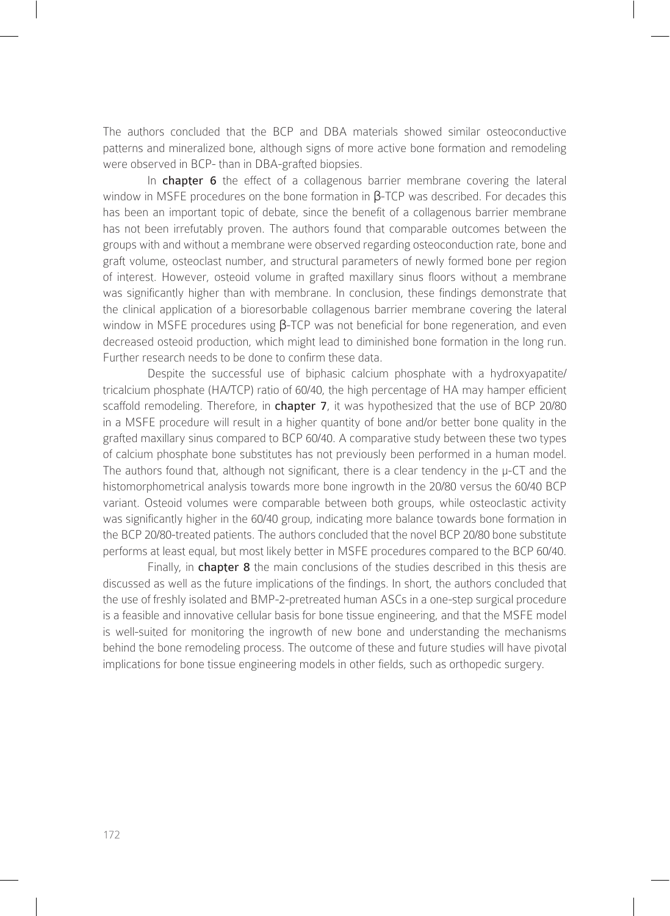The authors concluded that the BCP and DBA materials showed similar osteoconductive patterns and mineralized bone, although signs of more active bone formation and remodeling were observed in BCP- than in DBA-grafted biopsies.

In chapter 6 the effect of a collagenous barrier membrane covering the lateral window in MSFE procedures on the bone formation in  $\beta$ -TCP was described. For decades this has been an important topic of debate, since the benefit of a collagenous barrier membrane has not been irrefutably proven. The authors found that comparable outcomes between the groups with and without a membrane were observed regarding osteoconduction rate, bone and graft volume, osteoclast number, and structural parameters of newly formed bone per region of interest. However, osteoid volume in grafted maxillary sinus floors without a membrane was significantly higher than with membrane. In conclusion, these findings demonstrate that the clinical application of a bioresorbable collagenous barrier membrane covering the lateral window in MSFE procedures using β-TCP was not beneficial for bone regeneration, and even decreased osteoid production, which might lead to diminished bone formation in the long run. Further research needs to be done to confirm these data.

Despite the successful use of biphasic calcium phosphate with a hydroxyapatite/ tricalcium phosphate (HA/TCP) ratio of 60/40, the high percentage of HA may hamper efficient scaffold remodeling. Therefore, in chapter 7, it was hypothesized that the use of BCP 20/80 in a MSFE procedure will result in a higher quantity of bone and/or better bone quality in the grafted maxillary sinus compared to BCP 60/40. A comparative study between these two types of calcium phosphate bone substitutes has not previously been performed in a human model. The authors found that, although not significant, there is a clear tendency in the  $\mu$ -CT and the histomorphometrical analysis towards more bone ingrowth in the 20/80 versus the 60/40 BCP variant. Osteoid volumes were comparable between both groups, while osteoclastic activity was significantly higher in the 60/40 group, indicating more balance towards bone formation in the BCP 20/80-treated patients. The authors concluded that the novel BCP 20/80 bone substitute performs at least equal, but most likely better in MSFE procedures compared to the BCP 60/40.

Finally, in **chapter 8** the main conclusions of the studies described in this thesis are discussed as well as the future implications of the findings. In short, the authors concluded that the use of freshly isolated and BMP-2-pretreated human ASCs in a one-step surgical procedure is a feasible and innovative cellular basis for bone tissue engineering, and that the MSFE model is well-suited for monitoring the ingrowth of new bone and understanding the mechanisms behind the bone remodeling process. The outcome of these and future studies will have pivotal implications for bone tissue engineering models in other fields, such as orthopedic surgery.